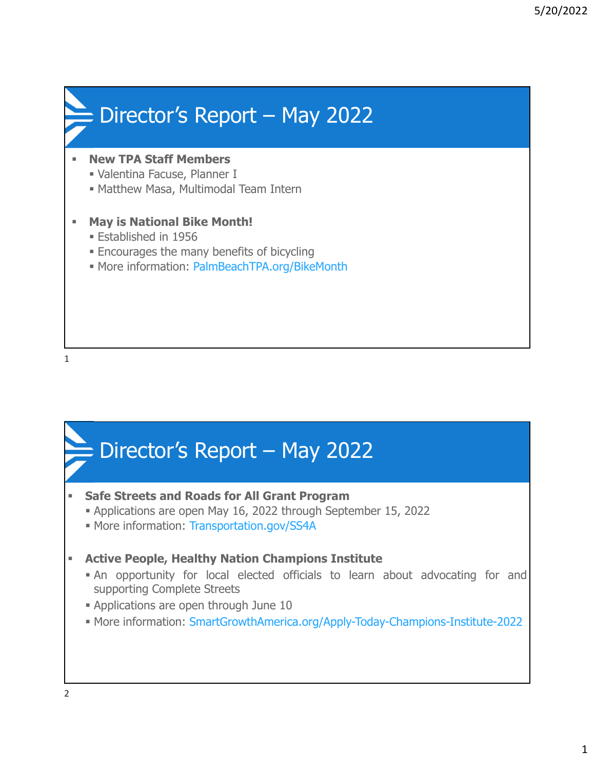

1

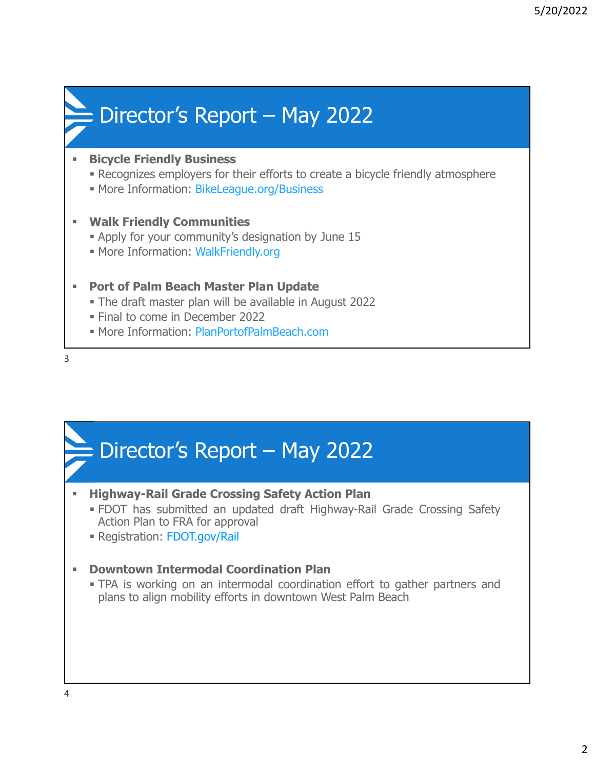# Director's Report – May 2022

### **Bicycle Friendly Business**

- Recognizes employers for their efforts to create a bicycle friendly atmosphere
- **More Information: BikeLeague.org/Business**

#### **Walk Friendly Communities**

- Apply for your community's designation by June 15
- More Information: WalkFriendly.org

## **Port of Palm Beach Master Plan Update**

- The draft master plan will be available in August 2022
- Final to come in December 2022
- **More Information: PlanPortofPalmBeach.com**

3